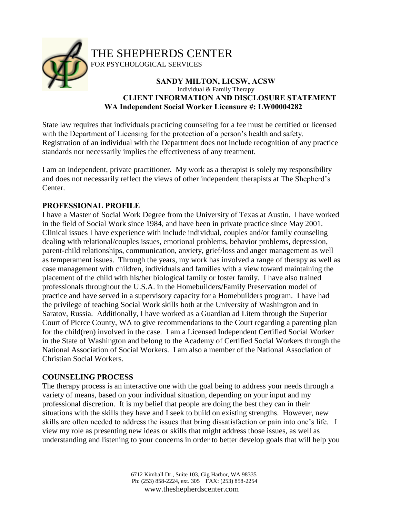

THE SHEPHERDS CENTER

FOR PSYCHOLOGICAL SERVICES

#### **SANDY MILTON, LICSW, ACSW** Individual & Family Therapy **CLIENT INFORMATION AND DISCLOSURE STATEMENT WA Independent Social Worker Licensure #: LW00004282**

State law requires that individuals practicing counseling for a fee must be certified or licensed with the Department of Licensing for the protection of a person's health and safety. Registration of an individual with the Department does not include recognition of any practice standards nor necessarily implies the effectiveness of any treatment.

I am an independent, private practitioner. My work as a therapist is solely my responsibility and does not necessarily reflect the views of other independent therapists at The Shepherd's Center.

## **PROFESSIONAL PROFILE**

I have a Master of Social Work Degree from the University of Texas at Austin. I have worked in the field of Social Work since 1984, and have been in private practice since May 2001. Clinical issues I have experience with include individual, couples and/or family counseling dealing with relational/couples issues, emotional problems, behavior problems, depression, parent-child relationships, communication, anxiety, grief/loss and anger management as well as temperament issues. Through the years, my work has involved a range of therapy as well as case management with children, individuals and families with a view toward maintaining the placement of the child with his/her biological family or foster family. I have also trained professionals throughout the U.S.A. in the Homebuilders/Family Preservation model of practice and have served in a supervisory capacity for a Homebuilders program. I have had the privilege of teaching Social Work skills both at the University of Washington and in Saratov, Russia. Additionally, I have worked as a Guardian ad Litem through the Superior Court of Pierce County, WA to give recommendations to the Court regarding a parenting plan for the child(ren) involved in the case. I am a Licensed Independent Certified Social Worker in the State of Washington and belong to the Academy of Certified Social Workers through the National Association of Social Workers. I am also a member of the National Association of Christian Social Workers.

# **COUNSELING PROCESS**

The therapy process is an interactive one with the goal being to address your needs through a variety of means, based on your individual situation, depending on your input and my professional discretion. It is my belief that people are doing the best they can in their situations with the skills they have and I seek to build on existing strengths. However, new skills are often needed to address the issues that bring dissatisfaction or pain into one's life. I view my role as presenting new ideas or skills that might address those issues, as well as understanding and listening to your concerns in order to better develop goals that will help you

> 6712 Kimball Dr., Suite 103, Gig Harbor, WA 98335 Ph: (253) 858-2224, ext. 305 FAX: (253) 858-2254 www.theshepherdscenter.com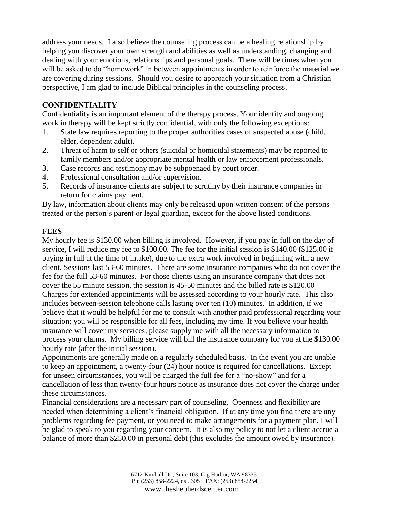address your needs. I also believe the counseling process can be a healing relationship by helping you discover your own strength and abilities as well as understanding, changing and dealing with your emotions, relationships and personal goals. There will be times when you will be asked to do "homework" in between appointments in order to reinforce the material we are covering during sessions. Should you desire to approach your situation from a Christian perspective, I am glad to include Biblical principles in the counseling process.

## **CONFIDENTIALITY**

Confidentiality is an important element of the therapy process. Your identity and ongoing work in therapy will be kept strictly confidential, with only the following exceptions:

- 1. State law requires reporting to the proper authorities cases of suspected abuse (child, elder, dependent adult).
- 2. Threat of harm to self or others (suicidal or homicidal statements) may be reported to family members and/or appropriate mental health or law enforcement professionals.
- 3. Case records and testimony may be subpoenaed by court order.
- 4. Professional consultation and/or supervision.
- 5. Records of insurance clients are subject to scrutiny by their insurance companies in return for claims payment.

By law, information about clients may only be released upon written consent of the persons treated or the person's parent or legal guardian, except for the above listed conditions.

#### **FEES**

My hourly fee is \$130.00 when billing is involved. However, if you pay in full on the day of service, I will reduce my fee to \$100.00. The fee for the initial session is \$140.00 (\$125.00 if paying in full at the time of intake), due to the extra work involved in beginning with a new client. Sessions last 53-60 minutes. There are some insurance companies who do not cover the fee for the full 53-60 minutes. For those clients using an insurance company that does not cover the 55 minute session, the session is 45-50 minutes and the billed rate is \$120.00 Charges for extended appointments will be assessed according to your hourly rate. This also includes between-session telephone calls lasting over ten (10) minutes. In addition, if we believe that it would be helpful for me to consult with another paid professional regarding your situation; you will be responsible for all fees, including my time. If you believe your health insurance will cover my services, please supply me with all the necessary information to process your claims. My billing service will bill the insurance company for you at the \$130.00 hourly rate (after the initial session).

Appointments are generally made on a regularly scheduled basis. In the event you are unable to keep an appointment, a twenty-four (24) hour notice is required for cancellations. Except for unseen circumstances, you will be charged the full fee for a "no-show" and for a cancellation of less than twenty-four hours notice as insurance does not cover the charge under these circumstances.

Financial considerations are a necessary part of counseling. Openness and flexibility are needed when determining a client's financial obligation. If at any time you find there are any problems regarding fee payment, or you need to make arrangements for a payment plan, I will be glad to speak to you regarding your concern. It is also my policy to not let a client accrue a balance of more than \$250.00 in personal debt (this excludes the amount owed by insurance).